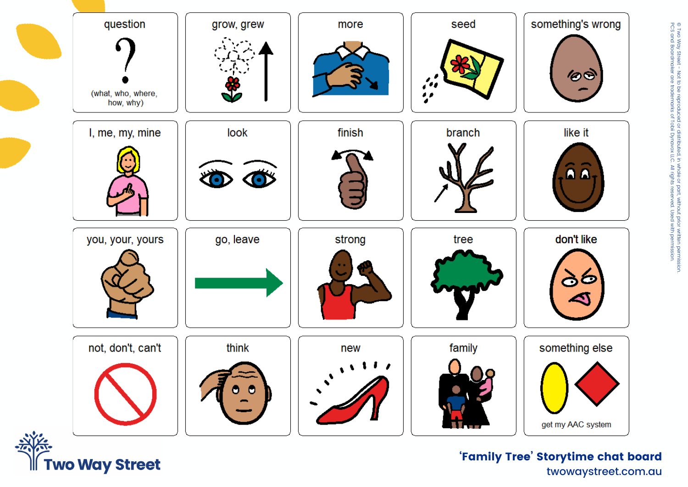

**Two Way Street** 

twowaystreet.com.au 'Family Tree' Storytime chat board

© Two Way

PCS and

Boardmaker

are<br>J

trademarks

of Tobii

Dynavox  $\frac{1}{2}$ ≧ rights Street - Not to be

reproduced or

distributed,

in whole or part,

without prior written

reserved.

Used  $\sum_{i=1}^{\infty}$ 

permission.

permission.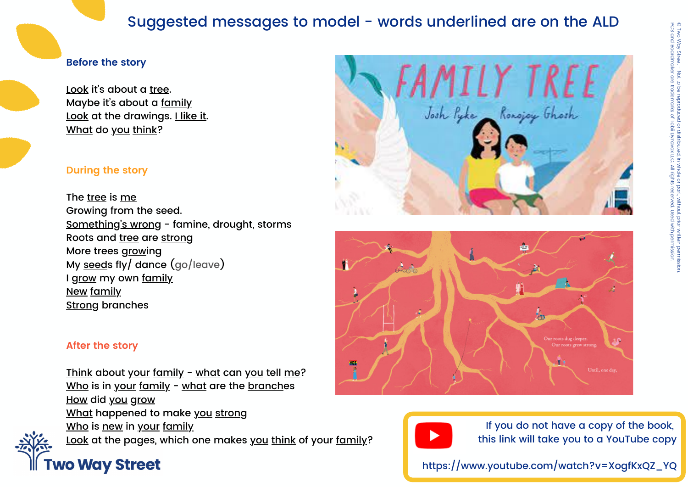## Suggested messages to model - words underlined are on the ALD

#### **Before the story**

Look it's about a tree. Maybe it's about a family Look at the drawings. I like it. What do you think?

#### **During the story**

The tree is me Growing from the seed. Something's wrong - famine, drought, storms Roots and tree are strong More trees growing My seeds fly/ dance (go/leave) I grow my own family New family Strong branches





### **After the story**

Think about your family - what can you tell me? Who is in your family - what are the branches How did you grow What happened to make you strong Who is new in your family Look at the pages, which one makes you think of your family?

# **Two Way Street**

If you do not have a copy of the book, this link will take you to a YouTube copy

https://www.youtube.com/watch?v=XogfKxQZ\_YQ